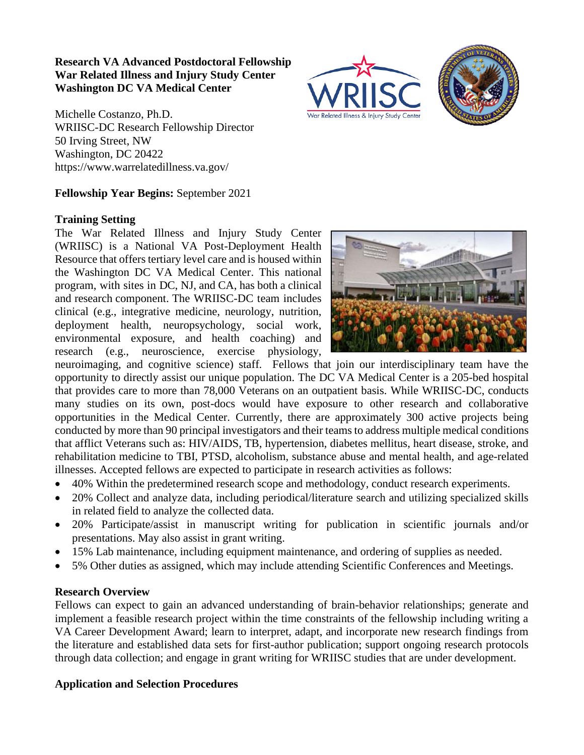### **Research VA Advanced Postdoctoral Fellowship War Related Illness and Injury Study Center Washington DC VA Medical Center**

Michelle Costanzo, Ph.D. WRIISC-DC Research Fellowship Director 50 Irving Street, NW Washington, DC 20422 https://www.warrelatedillness.va.gov/

#### **Fellowship Year Begins:** September 2021

#### **Training Setting**

The War Related Illness and Injury Study Center (WRIISC) is a National VA Post-Deployment Health Resource that offers tertiary level care and is housed within the Washington DC VA Medical Center. This national program, with sites in DC, NJ, and CA, has both a clinical and research component. The WRIISC-DC team includes clinical (e.g., integrative medicine, neurology, nutrition, deployment health, neuropsychology, social work, environmental exposure, and health coaching) and research (e.g., neuroscience, exercise physiology,

neuroimaging, and cognitive science) staff. Fellows that join our interdisciplinary team have the opportunity to directly assist our unique population. The DC VA Medical Center is a 205-bed hospital that provides care to more than 78,000 Veterans on an outpatient basis. While WRIISC-DC, conducts many studies on its own, post-docs would have exposure to other research and collaborative opportunities in the Medical Center. Currently, there are approximately 300 active projects being conducted by more than 90 principal investigators and their teams to address multiple medical conditions that afflict Veterans such as: HIV/AIDS, TB, hypertension, diabetes mellitus, heart disease, stroke, and rehabilitation medicine to TBI, PTSD, alcoholism, substance abuse and mental health, and age-related illnesses. Accepted fellows are expected to participate in research activities as follows:

- 40% Within the predetermined research scope and methodology, conduct research experiments.
- 20% Collect and analyze data, including periodical/literature search and utilizing specialized skills in related field to analyze the collected data.
- 20% Participate/assist in manuscript writing for publication in scientific journals and/or presentations. May also assist in grant writing.
- 15% Lab maintenance, including equipment maintenance, and ordering of supplies as needed.
- 5% Other duties as assigned, which may include attending Scientific Conferences and Meetings.

### **Research Overview**

Fellows can expect to gain an advanced understanding of brain-behavior relationships; generate and implement a feasible research project within the time constraints of the fellowship including writing a VA Career Development Award; learn to interpret, adapt, and incorporate new research findings from the literature and established data sets for first-author publication; support ongoing research protocols through data collection; and engage in grant writing for WRIISC studies that are under development.

### **Application and Selection Procedures**



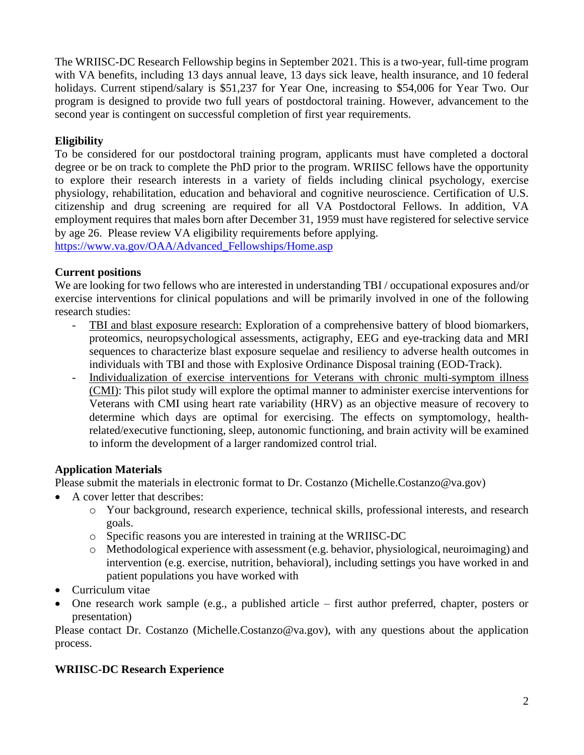The WRIISC-DC Research Fellowship begins in September 2021. This is a two-year, full-time program with VA benefits, including 13 days annual leave, 13 days sick leave, health insurance, and 10 federal holidays. Current stipend/salary is \$51,237 for Year One, increasing to \$54,006 for Year Two. Our program is designed to provide two full years of postdoctoral training. However, advancement to the second year is contingent on successful completion of first year requirements.

## **Eligibility**

To be considered for our postdoctoral training program, applicants must have completed a doctoral degree or be on track to complete the PhD prior to the program. WRIISC fellows have the opportunity to explore their research interests in a variety of fields including clinical psychology, exercise physiology, rehabilitation, education and behavioral and cognitive neuroscience. Certification of U.S. citizenship and drug screening are required for all VA Postdoctoral Fellows. In addition, VA employment requires that males born after December 31, 1959 must have registered for selective service by age 26. Please review VA eligibility requirements before applying.

[https://www.va.gov/OAA/Advanced\\_Fellowships/Home.asp](https://www.va.gov/OAA/Advanced_Fellowships/Home.asp)

### **Current positions**

We are looking for two fellows who are interested in understanding TBI / occupational exposures and/or exercise interventions for clinical populations and will be primarily involved in one of the following research studies:

- TBI and blast exposure research: Exploration of a comprehensive battery of blood biomarkers, proteomics, neuropsychological assessments, actigraphy, EEG and eye-tracking data and MRI sequences to characterize blast exposure sequelae and resiliency to adverse health outcomes in individuals with TBI and those with Explosive Ordinance Disposal training (EOD-Track).
- Individualization of exercise interventions for Veterans with chronic multi-symptom illness (CMI): This pilot study will explore the optimal manner to administer exercise interventions for Veterans with CMI using heart rate variability (HRV) as an objective measure of recovery to determine which days are optimal for exercising. The effects on symptomology, healthrelated/executive functioning, sleep, autonomic functioning, and brain activity will be examined to inform the development of a larger randomized control trial.

# **Application Materials**

Please submit the materials in electronic format to Dr. Costanzo (Michelle.Costanzo@va.gov)

- A cover letter that describes:
	- o Your background, research experience, technical skills, professional interests, and research goals.
	- o Specific reasons you are interested in training at the WRIISC-DC
	- o Methodological experience with assessment (e.g. behavior, physiological, neuroimaging) and intervention (e.g. exercise, nutrition, behavioral), including settings you have worked in and patient populations you have worked with
- Curriculum vitae
- One research work sample (e.g., a published article first author preferred, chapter, posters or presentation)

Please contact Dr. Costanzo (Michelle.Costanzo@va.gov), with any questions about the application process.

# **WRIISC-DC Research Experience**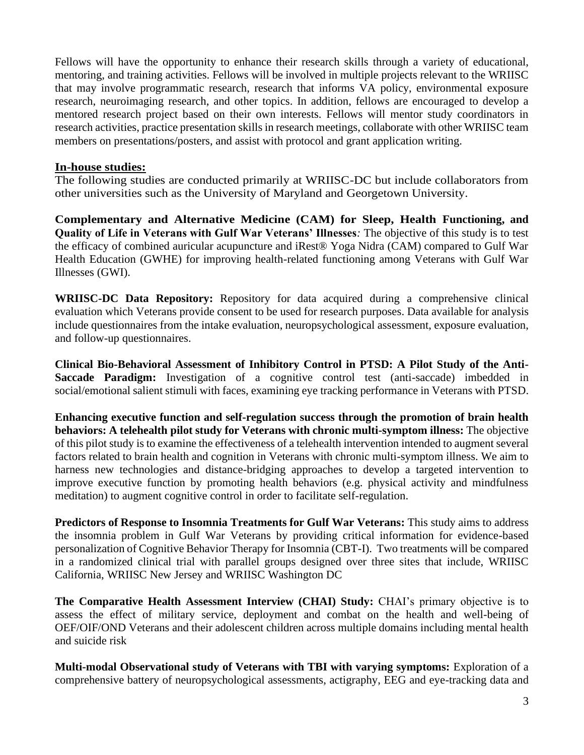Fellows will have the opportunity to enhance their research skills through a variety of educational, mentoring, and training activities. Fellows will be involved in multiple projects relevant to the WRIISC that may involve programmatic research, research that informs VA policy, environmental exposure research, neuroimaging research, and other topics. In addition, fellows are encouraged to develop a mentored research project based on their own interests. Fellows will mentor study coordinators in research activities, practice presentation skills in research meetings, collaborate with other WRIISC team members on presentations/posters, and assist with protocol and grant application writing.

#### **In-house studies:**

The following studies are conducted primarily at WRIISC-DC but include collaborators from other universities such as the University of Maryland and Georgetown University.

**Complementary and Alternative Medicine (CAM) for Sleep, Health Functioning, and Quality of Life in Veterans with Gulf War Veterans' Illnesses***:* The objective of this study is to test the efficacy of combined auricular acupuncture and iRest® Yoga Nidra (CAM) compared to Gulf War Health Education (GWHE) for improving health-related functioning among Veterans with Gulf War Illnesses (GWI).

**WRIISC-DC Data Repository:** Repository for data acquired during a comprehensive clinical evaluation which Veterans provide consent to be used for research purposes. Data available for analysis include questionnaires from the intake evaluation, neuropsychological assessment, exposure evaluation, and follow-up questionnaires.

**Clinical Bio-Behavioral Assessment of Inhibitory Control in PTSD: A Pilot Study of the Anti-Saccade Paradigm:** Investigation of a cognitive control test (anti-saccade) imbedded in social/emotional salient stimuli with faces, examining eye tracking performance in Veterans with PTSD.

**Enhancing executive function and self-regulation success through the promotion of brain health behaviors: A telehealth pilot study for Veterans with chronic multi-symptom illness:** The objective of this pilot study is to examine the effectiveness of a telehealth intervention intended to augment several factors related to brain health and cognition in Veterans with chronic multi-symptom illness. We aim to harness new technologies and distance-bridging approaches to develop a targeted intervention to improve executive function by promoting health behaviors (e.g. physical activity and mindfulness meditation) to augment cognitive control in order to facilitate self-regulation.

**Predictors of Response to Insomnia Treatments for Gulf War Veterans:** This study aims to address the insomnia problem in Gulf War Veterans by providing critical information for evidence-based personalization of Cognitive Behavior Therapy for Insomnia (CBT-I). Two treatments will be compared in a randomized clinical trial with parallel groups designed over three sites that include, WRIISC California, WRIISC New Jersey and WRIISC Washington DC

**The Comparative Health Assessment Interview (CHAI) Study:** CHAI's primary objective is to assess the effect of military service, deployment and combat on the health and well-being of OEF/OIF/OND Veterans and their adolescent children across multiple domains including mental health and suicide risk

**Multi-modal Observational study of Veterans with TBI with varying symptoms:** Exploration of a comprehensive battery of neuropsychological assessments, actigraphy, EEG and eye-tracking data and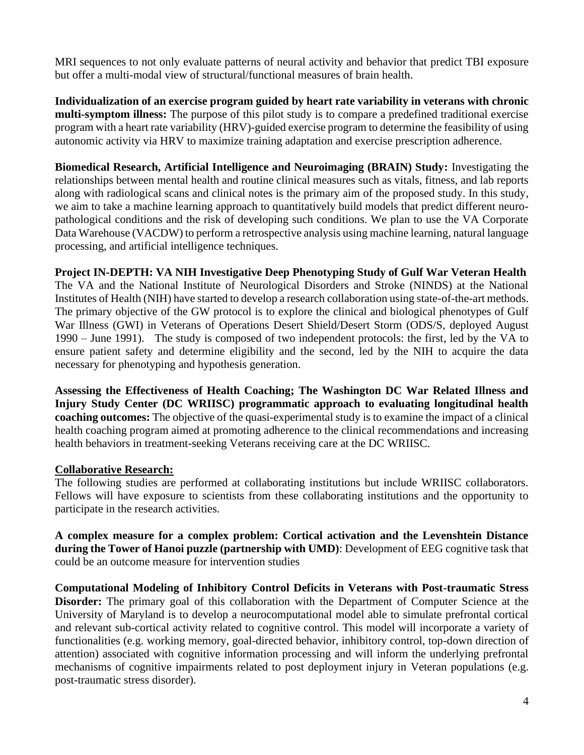MRI sequences to not only evaluate patterns of neural activity and behavior that predict TBI exposure but offer a multi-modal view of structural/functional measures of brain health.

**Individualization of an exercise program guided by heart rate variability in veterans with chronic multi-symptom illness:** The purpose of this pilot study is to compare a predefined traditional exercise program with a heart rate variability (HRV)-guided exercise program to determine the feasibility of using autonomic activity via HRV to maximize training adaptation and exercise prescription adherence.

**Biomedical Research, Artificial Intelligence and Neuroimaging (BRAIN) Study:** Investigating the relationships between mental health and routine clinical measures such as vitals, fitness, and lab reports along with radiological scans and clinical notes is the primary aim of the proposed study. In this study, we aim to take a machine learning approach to quantitatively build models that predict different neuropathological conditions and the risk of developing such conditions. We plan to use the VA Corporate Data Warehouse (VACDW) to perform a retrospective analysis using machine learning, natural language processing, and artificial intelligence techniques.

### **Project IN-DEPTH: VA NIH Investigative Deep Phenotyping Study of Gulf War Veteran Health**

The VA and the National Institute of Neurological Disorders and Stroke (NINDS) at the National Institutes of Health (NIH) have started to develop a research collaboration using state-of-the-art methods. The primary objective of the GW protocol is to explore the clinical and biological phenotypes of Gulf War Illness (GWI) in Veterans of Operations Desert Shield/Desert Storm (ODS/S, deployed August 1990 – June 1991). The study is composed of two independent protocols: the first, led by the VA to ensure patient safety and determine eligibility and the second, led by the NIH to acquire the data necessary for phenotyping and hypothesis generation.

**Assessing the Effectiveness of Health Coaching; The Washington DC War Related Illness and Injury Study Center (DC WRIISC) programmatic approach to evaluating longitudinal health coaching outcomes:** The objective of the quasi-experimental study is to examine the impact of a clinical health coaching program aimed at promoting adherence to the clinical recommendations and increasing health behaviors in treatment-seeking Veterans receiving care at the DC WRIISC.

### **Collaborative Research:**

The following studies are performed at collaborating institutions but include WRIISC collaborators. Fellows will have exposure to scientists from these collaborating institutions and the opportunity to participate in the research activities.

**A complex measure for a complex problem: Cortical activation and the Levenshtein Distance during the Tower of Hanoi puzzle (partnership with UMD)**: Development of EEG cognitive task that could be an outcome measure for intervention studies

**Computational Modeling of Inhibitory Control Deficits in Veterans with Post-traumatic Stress Disorder:** The primary goal of this collaboration with the Department of Computer Science at the University of Maryland is to develop a neurocomputational model able to simulate prefrontal cortical and relevant sub-cortical activity related to cognitive control. This model will incorporate a variety of functionalities (e.g. working memory, goal-directed behavior, inhibitory control, top-down direction of attention) associated with cognitive information processing and will inform the underlying prefrontal mechanisms of cognitive impairments related to post deployment injury in Veteran populations (e.g. post-traumatic stress disorder).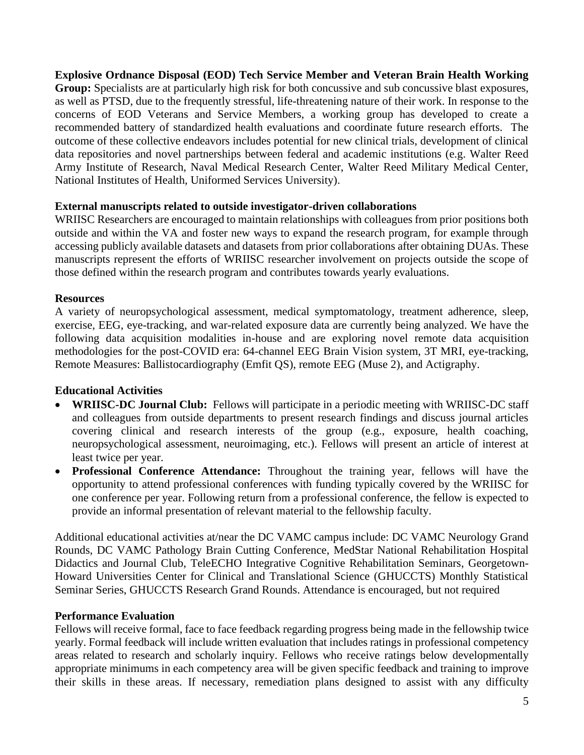**Explosive Ordnance Disposal (EOD) Tech Service Member and Veteran Brain Health Working Group:** Specialists are at particularly high risk for both concussive and sub concussive blast exposures, as well as PTSD, due to the frequently stressful, life-threatening nature of their work. In response to the concerns of EOD Veterans and Service Members, a working group has developed to create a recommended battery of standardized health evaluations and coordinate future research efforts. The outcome of these collective endeavors includes potential for new clinical trials, development of clinical data repositories and novel partnerships between federal and academic institutions (e.g. Walter Reed Army Institute of Research, Naval Medical Research Center, Walter Reed Military Medical Center, National Institutes of Health, Uniformed Services University).

### **External manuscripts related to outside investigator-driven collaborations**

WRIISC Researchers are encouraged to maintain relationships with colleagues from prior positions both outside and within the VA and foster new ways to expand the research program, for example through accessing publicly available datasets and datasets from prior collaborations after obtaining DUAs. These manuscripts represent the efforts of WRIISC researcher involvement on projects outside the scope of those defined within the research program and contributes towards yearly evaluations.

#### **Resources**

A variety of neuropsychological assessment, medical symptomatology, treatment adherence, sleep, exercise, EEG, eye-tracking, and war-related exposure data are currently being analyzed. We have the following data acquisition modalities in-house and are exploring novel remote data acquisition methodologies for the post-COVID era: 64-channel EEG Brain Vision system, 3T MRI, eye-tracking, Remote Measures: Ballistocardiography (Emfit QS), remote EEG (Muse 2), and Actigraphy.

### **Educational Activities**

- **WRIISC-DC Journal Club:** Fellows will participate in a periodic meeting with WRIISC-DC staff and colleagues from outside departments to present research findings and discuss journal articles covering clinical and research interests of the group (e.g., exposure, health coaching, neuropsychological assessment, neuroimaging, etc.). Fellows will present an article of interest at least twice per year.
- **Professional Conference Attendance:** Throughout the training year, fellows will have the opportunity to attend professional conferences with funding typically covered by the WRIISC for one conference per year. Following return from a professional conference, the fellow is expected to provide an informal presentation of relevant material to the fellowship faculty.

Additional educational activities at/near the DC VAMC campus include: DC VAMC Neurology Grand Rounds, DC VAMC Pathology Brain Cutting Conference, MedStar National Rehabilitation Hospital Didactics and Journal Club, TeleECHO Integrative Cognitive Rehabilitation Seminars, Georgetown-Howard Universities Center for Clinical and Translational Science (GHUCCTS) Monthly Statistical Seminar Series, GHUCCTS Research Grand Rounds. Attendance is encouraged, but not required

#### **Performance Evaluation**

Fellows will receive formal, face to face feedback regarding progress being made in the fellowship twice yearly. Formal feedback will include written evaluation that includes ratings in professional competency areas related to research and scholarly inquiry. Fellows who receive ratings below developmentally appropriate minimums in each competency area will be given specific feedback and training to improve their skills in these areas. If necessary, remediation plans designed to assist with any difficulty